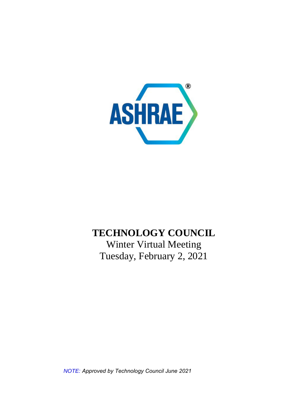

# **TECHNOLOGY COUNCIL**

Winter Virtual Meeting Tuesday, February 2, 2021

*NOTE: Approved by Technology Council June 2021*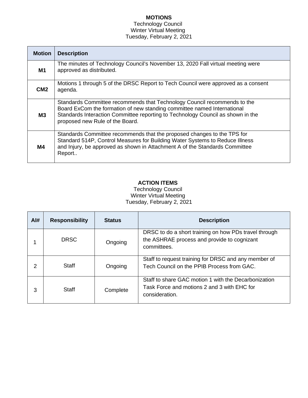# **MOTIONS**

#### Technology Council Winter Virtual Meeting Tuesday, February 2, 2021

| <b>Motion</b>   | <b>Description</b>                                                                                                                                                                                                                                                        |  |  |  |
|-----------------|---------------------------------------------------------------------------------------------------------------------------------------------------------------------------------------------------------------------------------------------------------------------------|--|--|--|
| M1              | The minutes of Technology Council's November 13, 2020 Fall virtual meeting were<br>approved as distributed.                                                                                                                                                               |  |  |  |
| CM <sub>2</sub> | Motions 1 through 5 of the DRSC Report to Tech Council were approved as a consent<br>agenda.                                                                                                                                                                              |  |  |  |
| M3              | Standards Committee recommends that Technology Council recommends to the<br>Board ExCom the formation of new standing committee named International<br>Standards Interaction Committee reporting to Technology Council as shown in the<br>proposed new Rule of the Board. |  |  |  |
| M4              | Standards Committee recommends that the proposed changes to the TPS for<br>Standard 514P, Control Measures for Building Water Systems to Reduce Illness<br>and Injury, be approved as shown in Attachment A of the Standards Committee<br>Report                          |  |  |  |

# **ACTION ITEMS**

Technology Council Winter Virtual Meeting Tuesday, February 2, 2021

| Al# | <b>Responsibility</b> | <b>Status</b> | <b>Description</b>                                                                                                    |
|-----|-----------------------|---------------|-----------------------------------------------------------------------------------------------------------------------|
|     | <b>DRSC</b>           | Ongoing       | DRSC to do a short training on how PDs travel through<br>the ASHRAE process and provide to cognizant<br>committees.   |
| 2   | <b>Staff</b>          | Ongoing       | Staff to request training for DRSC and any member of<br>Tech Council on the PPIB Process from GAC.                    |
| 3   | Staff                 | Complete      | Staff to share GAC motion 1 with the Decarbonization<br>Task Force and motions 2 and 3 with EHC for<br>consideration. |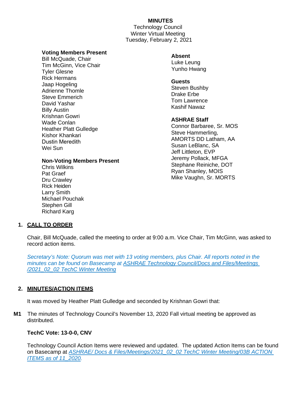## **MINUTES**

Technology Council Winter Virtual Meeting Tuesday, February 2, 2021

#### **Voting Members Present**

Bill McQuade, Chair Tim McGinn, Vice Chair Tyler Glesne Rick Hermans Jaap Hogeling Adrienne Thomle Steve Emmerich David Yashar Billy Austin Krishnan Gowri Wade Conlan Heather Platt Gulledge Kishor Khankari Dustin Meredith Wei Sun

## **Non-Voting Members Present**

Chris Wilkins Pat Graef Dru Crawley Rick Heiden Larry Smith Michael Pouchak Stephen Gill Richard Karg

#### **Absent**

Luke Leung Yunho Hwang

#### **Guests**  Steven Bushby Drake Erbe Tom Lawrence Kashif Nawaz

#### **ASHRAE Staff**

Connor Barbaree, Sr. MOS Steve Hammerling, AMORTS DD Latham, AA Susan LeBlanc, SA Jeff Littleton, EVP Jeremy Pollack, MFGA Stephane Reiniche, DOT Ryan Shanley, MOIS Mike Vaughn, Sr. MORTS

# **1. CALL TO ORDER**

Chair, Bill McQuade, called the meeting to order at 9:00 a.m. Vice Chair, Tim McGinn, was asked to record action items.

*Secretary's Note: Quorum was met with 13 voting members, plus Chair. All reports noted in the minutes can be found on Basecamp at ASHRAE Technology Council/Docs and Files/Meetings /2021\_02\_02 TechC Winter Meeting*

## **2. MINUTES/ACTION ITEMS**

It was moved by Heather Platt Gulledge and seconded by Krishnan Gowri that:

**M1** The minutes of Technology Council's November 13, 2020 Fall virtual meeting be approved as distributed.

## **TechC Vote: 13-0-0, CNV**

Technology Council Action Items were reviewed and updated. The updated Action Items can be found on Basecamp at *ASHRAE/ Docs & Files/Meetings/2021\_02\_02 TechC Winter Meeting/03B ACTION ITEMS as of 11\_2020.*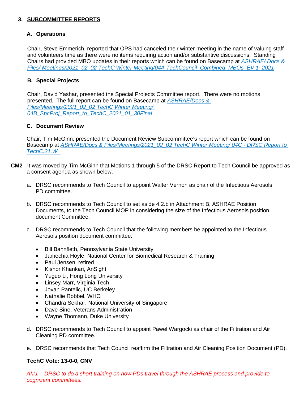## **3. SUBCOMMITTEE REPORTS**

## **A. Operations**

Chair, Steve Emmerich, reported that OPS had canceled their winter meeting in the name of valuing staff and volunteers time as there were no items requiring action and/or substantive discussions. Standing Chairs had provided MBO updates in their reports which can be found on Basecamp at *ASHRAE/ Docs & Files/ Meetings/2021\_02\_02 TechC Winter Meeting/04A TechCouncil\_Combined\_MBOs\_EV 1\_2021*

## **B. Special Projects**

Chair, David Yashar, presented the Special Projects Committee report. There were no motions presented. The full report can be found on Basecamp at *ASHRAE/Docs & Files/Meetings/2021\_02\_02 TechC Winter Meeting/ 04B\_SpcProj\_Report\_to\_TechC\_2021\_01\_30Final*

## **C. Document Review**

Chair, Tim McGinn, presented the Document Review Subcommittee's report which can be found on Basecamp at *ASHRAE/Docs & Files/Meetings/2021\_02\_02 TechC Winter Meeting/ 04C - DRSC Report to TechC.21.W.*

- **CM2** It was moved by Tim McGinn that Motions 1 through 5 of the DRSC Report to Tech Council be approved as a consent agenda as shown below.
	- a. DRSC recommends to Tech Council to appoint Walter Vernon as chair of the Infectious Aerosols PD committee.
	- b. DRSC recommends to Tech Council to set aside 4.2.b in Attachment B, ASHRAE Position Documents, to the Tech Council MOP in considering the size of the Infectious Aerosols position document Committee.
	- c. DRSC recommends to Tech Council that the following members be appointed to the Infectious Aerosols position document committee:
		- Bill Bahnfleth, Pennsylvania State University
		- Jamechia Hoyle, National Center for Biomedical Research & Training
		- Paul Jensen, retired
		- Kishor Khankari, AnSight
		- Yuguo Li, Hong Long University
		- Linsey Marr, Virginia Tech
		- Jovan Pantelic, UC Berkeley
		- Nathalie Robbel, WHO
		- Chandra Sekhar, National University of Singapore
		- Dave Sine, Veterans Administration
		- Wayne Thomann, Duke University
	- d. DRSC recommends to Tech Council to appoint Pawel Wargocki as chair of the Filtration and Air Cleaning PD committee.
	- e. DRSC recommends that Tech Council reaffirm the Filtration and Air Cleaning Position Document (PD).

## **TechC Vote: 13-0-0, CNV**

*AI#1 – DRSC to do a short training on how PDs travel through the ASHRAE process and provide to cognizant committees.*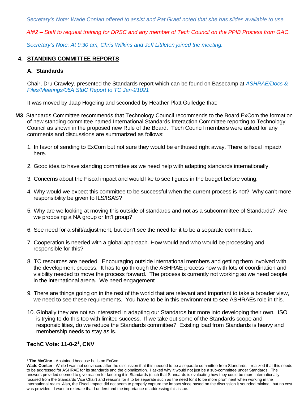*Secretary's Note: Wade Conlan offered to assist and Pat Graef noted that she has slides available to use.* 

*AI#2 – Staff to request training for DRSC and any member of Tech Council on the PPIB Process from GAC.*

*Secretary's Note: At 9:30 am, Chris Wilkins and Jeff Littleton joined the meeting.*

## **4. STANDING COMMITTEE REPORTS**

#### **A. Standards**

Chair, Dru Crawley, presented the Standards report which can be found on Basecamp at *ASHRAE/Docs & Files/Meetings/05A StdC Report to TC Jan-21021*

It was moved by Jaap Hogeling and seconded by Heather Platt Gulledge that:

- **M3** Standards Committee recommends that Technology Council recommends to the Board ExCom the formation of new standing committee named International Standards Interaction Committee reporting to Technology Council as shown in the proposed new Rule of the Board. Tech Council members were asked for any comments and discussions are summarized as follows:
	- 1. In favor of sending to ExCom but not sure they would be enthused right away. There is fiscal impact\ here.
	- 2. Good idea to have standing committee as we need help with adapting standards internationally.
	- 3. Concerns about the Fiscal impact and would like to see figures in the budget before voting.
	- 4. Why would we expect this committee to be successful when the current process is not? Why can't more responsibility be given to ILS/ISAS?
	- 5. Why are we looking at moving this outside of standards and not as a subcommittee of Standards? Are we proposing a NA group or Int'l group?
	- 6. See need for a shift/adjustment, but don't see the need for it to be a separate committee.
	- 7. Cooperation is needed with a global approach. How would and who would be processing and responsible for this?
	- 8. TC resources are needed. Encouraging outside international members and getting them involved with the development process. It has to go through the ASHRAE process now with lots of coordination and visibility needed to move the process forward. The process is currently not working so we need people in the international arena. We need engagement .
	- 9. There are things going on in the rest of the world that are relevant and important to take a broader view, we need to see these requirements. You have to be in this environment to see ASHRAEs role in this.
	- 10. Globally they are not so interested in adapting our Standards but more into developing their own. ISO is trying to do this too with limited success. If we take out some of the Standards scope and responsibilities, do we reduce the Standards committee? Existing load from Standards is heavy and membership needs to stay as is.

# **TechC Vote: 11-0-2[1](#page-4-0) , CNV**

<span id="page-4-0"></span><sup>1</sup> **Tim McGinn -** Abstained because he is on ExCom.

**Wade Conlan -** While I was not convinced after the discussion that this needed to be a separate committee from Standards, I realized that this needs to be addressed for ASHRAE for its standards and the globalization. I asked why it would not just be a sub-committee under Standards. The answers provided seemed to give reason for keeping it in Standards (such that Standards is evaluating how they could be more internationally focused from the Standards Vice Chair) and reasons for it to be separate such as the need for it to be more prominent when working in the international realm. Also, the Fiscal Impact did not seem to properly capture the impact since based on the discussion it sounded minimal, but no cost was provided. I want to reiterate that I understand the importance of addressing this issue.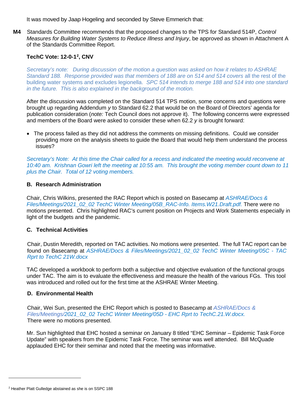It was moved by Jaap Hogeling and seconded by Steve Emmerich that:

**M4** Standards Committee recommends that the proposed changes to the TPS for Standard 514P, *Control Measures for Building Water Systems to Reduce Illness and Injury*, be approved as shown in Attachment A of the Standards Committee Report.

# **TechC Vote: 12-0-1[2](#page-5-0) , CNV**

*Secretary's note: During discussion of the motion a question was asked on how it relates to ASHRAE Standard 188. Response provided was that members of 188 are on 514 and 514 covers* all the rest of the building water systems and excludes legionella. *SPC 514 intends to merge 188 and 514 into one standard in the future. This is also explained in the background of the motion.*

After the discussion was completed on the Standard 514 TPS motion, some concerns and questions were brought up regarding Addendum *y* to Standard 62.2 that would be on the Board of Directors' agenda for publication consideration (*note:* Tech Council does not approve it). The following concerns were expressed and members of the Board were asked to consider these when 62.2 *y* is brought forward:

• The process failed as they did not address the comments on missing definitions. Could we consider providing more on the analysis sheets to guide the Board that would help them understand the process issues?

*Secretary's Note: At this time the Chair called for a recess and indicated the meeting would reconvene at 10:40 am. Krishnan Gowri left the meeting at 10:55 am. This brought the voting member count down to 11 plus the Chair. Total of 12 voting members.*

## **B. Research Administration**

Chair, Chris Wilkins, presented the RAC Report which is posted on Basecamp at *ASHRAE/Docs & Files/Meetings/2021\_02\_02 TechC Winter Meeting/05B\_RAC-Info. Items.W21.Draft.pdf.* There were no motions presented. Chris highlighted RAC's current position on Projects and Work Statements especially in light of the budgets and the pandemic.

## **C. Technical Activities**

Chair, Dustin Meredith, reported on TAC activities. No motions were presented. The full TAC report can be found on Basecamp at *ASHRAE/Docs & Files/Meetings/2021\_02\_02 TechC Winter Meeting/05C - TAC Rprt to TechC 21W.docx*

TAC developed a workbook to perform both a subjective and objective evaluation of the functional groups under TAC. The aim is to evaluate the effectiveness and measure the health of the various FGs. This tool was introduced and rolled out for the first time at the ASHRAE Winter Meeting.

## **D. Environmental Health**

Chair, Wei Sun, presented the EHC Report which is posted to Basecamp at *ASHRAE/Docs & Files/Meetings/2021\_02\_02 TechC Winter Meeting/05D - EHC Rprt to TechC.21.W.docx.* There were no motions presented.

Mr. Sun highlighted that EHC hosted a seminar on January 8 titled "EHC Seminar – Epidemic Task Force Update" with speakers from the Epidemic Task Force. The seminar was well attended. Bill McQuade applauded EHC for their seminar and noted that the meeting was informative.

<span id="page-5-0"></span><sup>2</sup> Heather Platt Gulledge abstained as she is on SSPC 188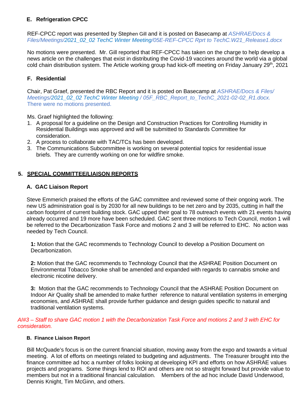# **E. Refrigeration CPCC**

REF-CPCC report was presented by Stephen Gill and it is posted on Basecamp at *ASHRAE/Docs & Files/Meetings/2021\_02\_02 TechC Winter Meeting/05E-REF-CPCC Rprt to TechC.W21\_Release1.docx*

No motions were presented. Mr. Gill reported that REF-CPCC has taken on the charge to help develop a news article on the challenges that exist in distributing the Covid-19 vaccines around the world via a global cold chain distribution system. The Article working group had kick-off meeting on Friday January 29<sup>th</sup>, 2021

# **F. Residential**

Chair, Pat Graef, presented the RBC Report and it is posted on Basecamp at *ASHRAE/Docs & Files/ Meetings/2021\_02\_02 TechC Winter Meeting / 05F\_RBC\_Report\_to\_TechC\_2021-02-02\_R1.docx.*  There were no motions presented.

Ms. Graef highlighted the following:

- 1. A proposal for a guideline on the Design and Construction Practices for Controlling Humidity in Residential Buildings was approved and will be submitted to Standards Committee for consideration.
- 2. A process to collaborate with TAC/TCs has been developed.
- 3. The Communications Subcommittee is working on several potential topics for residential issue briefs. They are currently working on one for wildfire smoke.

## **5. SPECIAL COMMITTEE/LIAISON REPORTS**

#### **A. GAC Liaison Report**

Steve Emmerich praised the efforts of the GAC committee and reviewed some of their ongoing work. The new US administration goal is by 2030 for all new buildings to be net zero and by 2035, cutting in half the carbon footprint of current building stock. GAC upped their goal to 78 outreach events with 21 events having already occurred and 19 more have been scheduled. GAC sent three motions to Tech Council, motion 1 will be referred to the Decarbonization Task Force and motions 2 and 3 will be referred to EHC. No action was needed by Tech Council.

**1:** Motion that the GAC recommends to Technology Council to develop a Position Document on Decarbonization.

**2:** Motion that the GAC recommends to Technology Council that the ASHRAE Position Document on Environmental Tobacco Smoke shall be amended and expanded with regards to cannabis smoke and electronic nicotine delivery.

**3:** Motion that the GAC recommends to Technology Council that the ASHRAE Position Document on Indoor Air Quality shall be amended to make further reference to natural ventilation systems in emerging economies, and ASHRAE shall provide further guidance and design guides specific to natural and traditional ventilation systems.

*AI#3 – Staff to share GAC motion 1 with the Decarbonization Task Force and motions 2 and 3 with EHC for consideration.*

#### **B. Finance Liaison Report**

 Bill McQuade's focus is on the current financial situation, moving away from the expo and towards a virtual meeting. A lot of efforts on meetings related to budgeting and adjustments. The Treasurer brought into the finance committee ad hoc a number of folks looking at developing KPI and efforts on how ASHRAE values projects and programs. Some things lend to ROI and others are not so straight forward but provide value to members but not in a traditional financial calculation. Members of the ad hoc include David Underwood, Dennis Knight, Tim McGinn, and others.